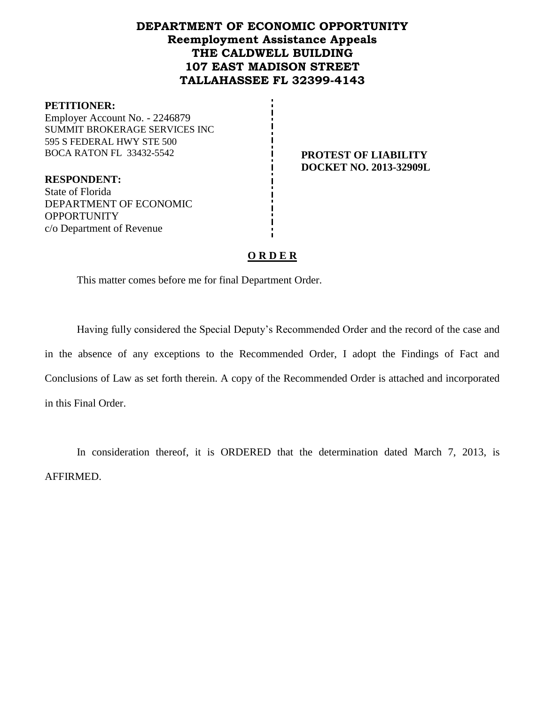# **DEPARTMENT OF ECONOMIC OPPORTUNITY Reemployment Assistance Appeals THE CALDWELL BUILDING 107 EAST MADISON STREET TALLAHASSEE FL 32399-4143**

#### **PETITIONER:**

Employer Account No. - 2246879 SUMMIT BROKERAGE SERVICES INC 595 S FEDERAL HWY STE 500 BOCA RATON FL 33432-5542 **PROTEST OF LIABILITY**

**DOCKET NO. 2013-32909L**

**RESPONDENT:** State of Florida DEPARTMENT OF ECONOMIC **OPPORTUNITY** c/o Department of Revenue

# **O R D E R**

This matter comes before me for final Department Order.

Having fully considered the Special Deputy's Recommended Order and the record of the case and in the absence of any exceptions to the Recommended Order, I adopt the Findings of Fact and Conclusions of Law as set forth therein. A copy of the Recommended Order is attached and incorporated in this Final Order.

In consideration thereof, it is ORDERED that the determination dated March 7, 2013, is AFFIRMED.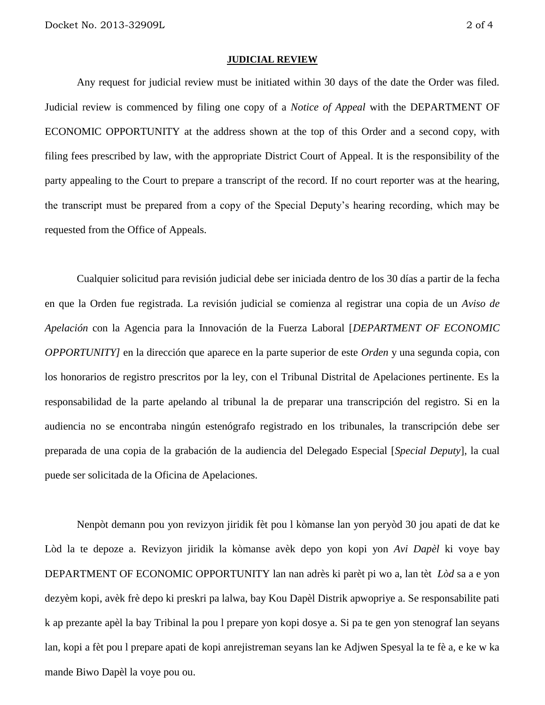#### **JUDICIAL REVIEW**

Any request for judicial review must be initiated within 30 days of the date the Order was filed. Judicial review is commenced by filing one copy of a *Notice of Appeal* with the DEPARTMENT OF ECONOMIC OPPORTUNITY at the address shown at the top of this Order and a second copy, with filing fees prescribed by law, with the appropriate District Court of Appeal. It is the responsibility of the party appealing to the Court to prepare a transcript of the record. If no court reporter was at the hearing, the transcript must be prepared from a copy of the Special Deputy's hearing recording, which may be requested from the Office of Appeals.

Cualquier solicitud para revisión judicial debe ser iniciada dentro de los 30 días a partir de la fecha en que la Orden fue registrada. La revisión judicial se comienza al registrar una copia de un *Aviso de Apelación* con la Agencia para la Innovación de la Fuerza Laboral [*DEPARTMENT OF ECONOMIC OPPORTUNITY]* en la dirección que aparece en la parte superior de este *Orden* y una segunda copia, con los honorarios de registro prescritos por la ley, con el Tribunal Distrital de Apelaciones pertinente. Es la responsabilidad de la parte apelando al tribunal la de preparar una transcripción del registro. Si en la audiencia no se encontraba ningún estenógrafo registrado en los tribunales, la transcripción debe ser preparada de una copia de la grabación de la audiencia del Delegado Especial [*Special Deputy*], la cual puede ser solicitada de la Oficina de Apelaciones.

Nenpòt demann pou yon revizyon jiridik fèt pou l kòmanse lan yon peryòd 30 jou apati de dat ke Lòd la te depoze a. Revizyon jiridik la kòmanse avèk depo yon kopi yon *Avi Dapèl* ki voye bay DEPARTMENT OF ECONOMIC OPPORTUNITY lan nan adrès ki parèt pi wo a, lan tèt *Lòd* sa a e yon dezyèm kopi, avèk frè depo ki preskri pa lalwa, bay Kou Dapèl Distrik apwopriye a. Se responsabilite pati k ap prezante apèl la bay Tribinal la pou l prepare yon kopi dosye a. Si pa te gen yon stenograf lan seyans lan, kopi a fèt pou l prepare apati de kopi anrejistreman seyans lan ke Adjwen Spesyal la te fè a, e ke w ka mande Biwo Dapèl la voye pou ou.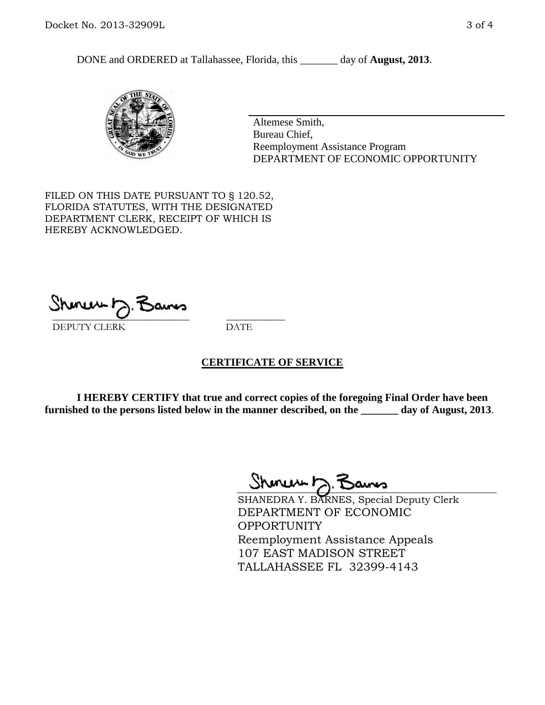DONE and ORDERED at Tallahassee, Florida, this \_\_\_\_\_\_\_ day of **August, 2013**.



Altemese Smith, Bureau Chief, Reemployment Assistance Program DEPARTMENT OF ECONOMIC OPPORTUNITY

FILED ON THIS DATE PURSUANT TO § 120.52, FLORIDA STATUTES, WITH THE DESIGNATED DEPARTMENT CLERK, RECEIPT OF WHICH IS HEREBY ACKNOWLEDGED.

 $\overline{\phantom{a}}$  ,  $\overline{\phantom{a}}$  ,  $\overline{\phantom{a}}$  ,  $\overline{\phantom{a}}$  ,  $\overline{\phantom{a}}$  ,  $\overline{\phantom{a}}$  ,  $\overline{\phantom{a}}$  ,  $\overline{\phantom{a}}$ DEPUTY CLERK DATE

## **CERTIFICATE OF SERVICE**

**I HEREBY CERTIFY that true and correct copies of the foregoing Final Order have been furnished to the persons listed below in the manner described, on the \_\_\_\_\_\_\_ day of August, 2013**.

Shenux D.F

SHANEDRA Y. BARNES, Special Deputy Clerk DEPARTMENT OF ECONOMIC **OPPORTUNITY** Reemployment Assistance Appeals 107 EAST MADISON STREET TALLAHASSEE FL 32399-4143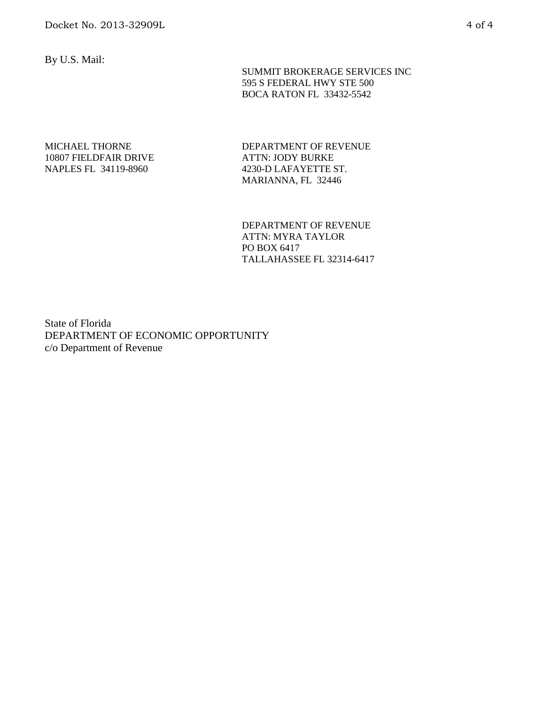By U.S. Mail:

 SUMMIT BROKERAGE SERVICES INC 595 S FEDERAL HWY STE 500 BOCA RATON FL 33432-5542

### MICHAEL THORNE 10807 FIELDFAIR DRIVE NAPLES FL 34119-8960

DEPARTMENT OF REVENUE ATTN: JODY BURKE 4230-D LAFAYETTE ST. MARIANNA, FL 32446

DEPARTMENT OF REVENUE ATTN: MYRA TAYLOR PO BOX 6417 TALLAHASSEE FL 32314-6417

State of Florida DEPARTMENT OF ECONOMIC OPPORTUNITY c/o Department of Revenue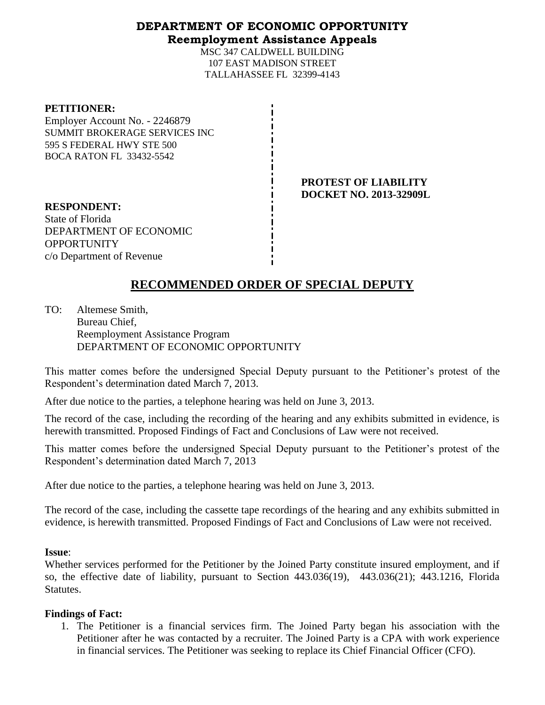# **DEPARTMENT OF ECONOMIC OPPORTUNITY Reemployment Assistance Appeals**

MSC 347 CALDWELL BUILDING 107 EAST MADISON STREET TALLAHASSEE FL 32399-4143

### **PETITIONER:**

Employer Account No. - 2246879 SUMMIT BROKERAGE SERVICES INC 595 S FEDERAL HWY STE 500 BOCA RATON FL 33432-5542

> **PROTEST OF LIABILITY DOCKET NO. 2013-32909L**

**RESPONDENT:** State of Florida DEPARTMENT OF ECONOMIC OPPORTUNITY c/o Department of Revenue

# **RECOMMENDED ORDER OF SPECIAL DEPUTY**

TO: Altemese Smith, Bureau Chief, Reemployment Assistance Program DEPARTMENT OF ECONOMIC OPPORTUNITY

This matter comes before the undersigned Special Deputy pursuant to the Petitioner's protest of the Respondent's determination dated March 7, 2013.

After due notice to the parties, a telephone hearing was held on June 3, 2013.

The record of the case, including the recording of the hearing and any exhibits submitted in evidence, is herewith transmitted. Proposed Findings of Fact and Conclusions of Law were not received.

This matter comes before the undersigned Special Deputy pursuant to the Petitioner's protest of the Respondent's determination dated March 7, 2013

After due notice to the parties, a telephone hearing was held on June 3, 2013.

The record of the case, including the cassette tape recordings of the hearing and any exhibits submitted in evidence, is herewith transmitted. Proposed Findings of Fact and Conclusions of Law were not received.

## **Issue**:

Whether services performed for the Petitioner by the Joined Party constitute insured employment, and if so, the effective date of liability, pursuant to Section 443.036(19), 443.036(21); 443.1216, Florida Statutes.

## **Findings of Fact:**

1. The Petitioner is a financial services firm. The Joined Party began his association with the Petitioner after he was contacted by a recruiter. The Joined Party is a CPA with work experience in financial services. The Petitioner was seeking to replace its Chief Financial Officer (CFO).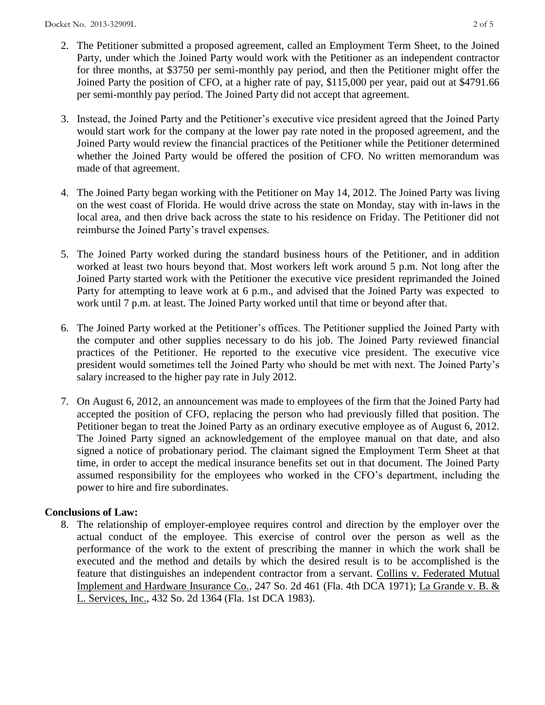- 2. The Petitioner submitted a proposed agreement, called an Employment Term Sheet, to the Joined Party, under which the Joined Party would work with the Petitioner as an independent contractor for three months, at \$3750 per semi-monthly pay period, and then the Petitioner might offer the Joined Party the position of CFO, at a higher rate of pay, \$115,000 per year, paid out at \$4791.66 per semi-monthly pay period. The Joined Party did not accept that agreement.
- 3. Instead, the Joined Party and the Petitioner's executive vice president agreed that the Joined Party would start work for the company at the lower pay rate noted in the proposed agreement, and the Joined Party would review the financial practices of the Petitioner while the Petitioner determined whether the Joined Party would be offered the position of CFO. No written memorandum was made of that agreement.
- 4. The Joined Party began working with the Petitioner on May 14, 2012. The Joined Party was living on the west coast of Florida. He would drive across the state on Monday, stay with in-laws in the local area, and then drive back across the state to his residence on Friday. The Petitioner did not reimburse the Joined Party's travel expenses.
- 5. The Joined Party worked during the standard business hours of the Petitioner, and in addition worked at least two hours beyond that. Most workers left work around 5 p.m. Not long after the Joined Party started work with the Petitioner the executive vice president reprimanded the Joined Party for attempting to leave work at 6 p.m., and advised that the Joined Party was expected to work until 7 p.m. at least. The Joined Party worked until that time or beyond after that.
- 6. The Joined Party worked at the Petitioner's offices. The Petitioner supplied the Joined Party with the computer and other supplies necessary to do his job. The Joined Party reviewed financial practices of the Petitioner. He reported to the executive vice president. The executive vice president would sometimes tell the Joined Party who should be met with next. The Joined Party's salary increased to the higher pay rate in July 2012.
- 7. On August 6, 2012, an announcement was made to employees of the firm that the Joined Party had accepted the position of CFO, replacing the person who had previously filled that position. The Petitioner began to treat the Joined Party as an ordinary executive employee as of August 6, 2012. The Joined Party signed an acknowledgement of the employee manual on that date, and also signed a notice of probationary period. The claimant signed the Employment Term Sheet at that time, in order to accept the medical insurance benefits set out in that document. The Joined Party assumed responsibility for the employees who worked in the CFO's department, including the power to hire and fire subordinates.

# **Conclusions of Law:**

8. The relationship of employer-employee requires control and direction by the employer over the actual conduct of the employee. This exercise of control over the person as well as the performance of the work to the extent of prescribing the manner in which the work shall be executed and the method and details by which the desired result is to be accomplished is the feature that distinguishes an independent contractor from a servant. Collins v. Federated Mutual Implement and Hardware Insurance Co., 247 So. 2d 461 (Fla. 4th DCA 1971); La Grande v. B. & L. Services, Inc., 432 So. 2d 1364 (Fla. 1st DCA 1983).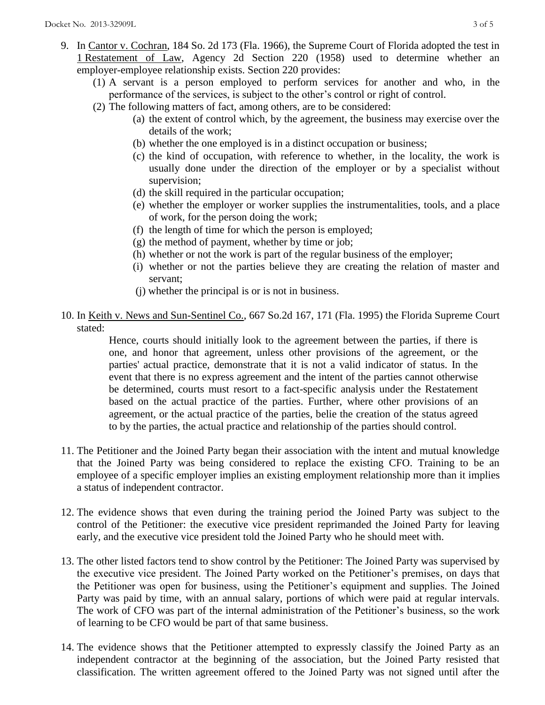- 9. In Cantor v. Cochran, 184 So. 2d 173 (Fla. 1966), the Supreme Court of Florida adopted the test in 1 Restatement of Law, Agency 2d Section 220 (1958) used to determine whether an employer-employee relationship exists. Section 220 provides:
	- (1) A servant is a person employed to perform services for another and who, in the performance of the services, is subject to the other's control or right of control.
	- (2) The following matters of fact, among others, are to be considered:
		- (a) the extent of control which, by the agreement, the business may exercise over the details of the work;
		- (b) whether the one employed is in a distinct occupation or business;
		- (c) the kind of occupation, with reference to whether, in the locality, the work is usually done under the direction of the employer or by a specialist without supervision;
		- (d) the skill required in the particular occupation;
		- (e) whether the employer or worker supplies the instrumentalities, tools, and a place of work, for the person doing the work;
		- (f) the length of time for which the person is employed;
		- (g) the method of payment, whether by time or job;
		- (h) whether or not the work is part of the regular business of the employer;
		- (i) whether or not the parties believe they are creating the relation of master and servant;
		- (j) whether the principal is or is not in business.
- 10. In Keith v. News and Sun-Sentinel Co., 667 So.2d 167, 171 (Fla. 1995) the Florida Supreme Court stated:

Hence, courts should initially look to the agreement between the parties, if there is one, and honor that agreement, unless other provisions of the agreement, or the parties' actual practice, demonstrate that it is not a valid indicator of status. In the event that there is no express agreement and the intent of the parties cannot otherwise be determined, courts must resort to a fact-specific analysis under the Restatement based on the actual practice of the parties. Further, where other provisions of an agreement, or the actual practice of the parties, belie the creation of the status agreed to by the parties, the actual practice and relationship of the parties should control.

- 11. The Petitioner and the Joined Party began their association with the intent and mutual knowledge that the Joined Party was being considered to replace the existing CFO. Training to be an employee of a specific employer implies an existing employment relationship more than it implies a status of independent contractor.
- 12. The evidence shows that even during the training period the Joined Party was subject to the control of the Petitioner: the executive vice president reprimanded the Joined Party for leaving early, and the executive vice president told the Joined Party who he should meet with.
- 13. The other listed factors tend to show control by the Petitioner: The Joined Party was supervised by the executive vice president. The Joined Party worked on the Petitioner's premises, on days that the Petitioner was open for business, using the Petitioner's equipment and supplies. The Joined Party was paid by time, with an annual salary, portions of which were paid at regular intervals. The work of CFO was part of the internal administration of the Petitioner's business, so the work of learning to be CFO would be part of that same business.
- 14. The evidence shows that the Petitioner attempted to expressly classify the Joined Party as an independent contractor at the beginning of the association, but the Joined Party resisted that classification. The written agreement offered to the Joined Party was not signed until after the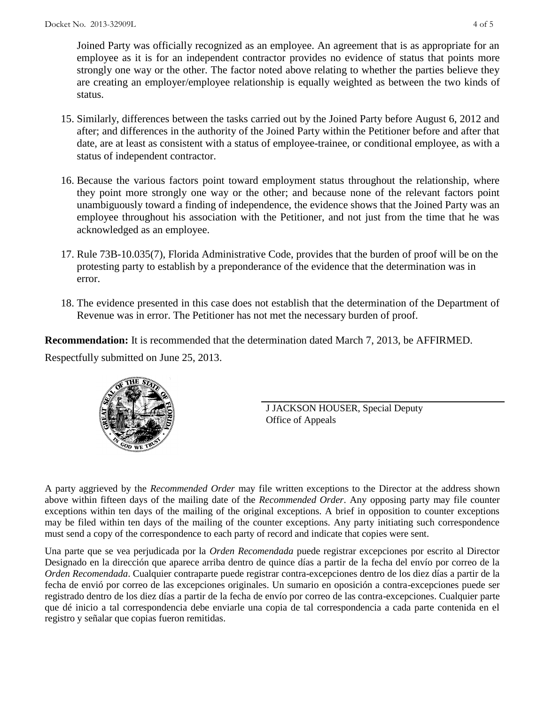Joined Party was officially recognized as an employee. An agreement that is as appropriate for an employee as it is for an independent contractor provides no evidence of status that points more strongly one way or the other. The factor noted above relating to whether the parties believe they are creating an employer/employee relationship is equally weighted as between the two kinds of status.

- 15. Similarly, differences between the tasks carried out by the Joined Party before August 6, 2012 and after; and differences in the authority of the Joined Party within the Petitioner before and after that date, are at least as consistent with a status of employee-trainee, or conditional employee, as with a status of independent contractor.
- 16. Because the various factors point toward employment status throughout the relationship, where they point more strongly one way or the other; and because none of the relevant factors point unambiguously toward a finding of independence, the evidence shows that the Joined Party was an employee throughout his association with the Petitioner, and not just from the time that he was acknowledged as an employee.
- 17. Rule 73B-10.035(7), Florida Administrative Code, provides that the burden of proof will be on the protesting party to establish by a preponderance of the evidence that the determination was in error.
- 18. The evidence presented in this case does not establish that the determination of the Department of Revenue was in error. The Petitioner has not met the necessary burden of proof.

**Recommendation:** It is recommended that the determination dated March 7, 2013, be AFFIRMED.

Respectfully submitted on June 25, 2013.



J JACKSON HOUSER, Special Deputy Office of Appeals

A party aggrieved by the *Recommended Order* may file written exceptions to the Director at the address shown above within fifteen days of the mailing date of the *Recommended Order*. Any opposing party may file counter exceptions within ten days of the mailing of the original exceptions. A brief in opposition to counter exceptions may be filed within ten days of the mailing of the counter exceptions. Any party initiating such correspondence must send a copy of the correspondence to each party of record and indicate that copies were sent.

Una parte que se vea perjudicada por la *Orden Recomendada* puede registrar excepciones por escrito al Director Designado en la dirección que aparece arriba dentro de quince días a partir de la fecha del envío por correo de la *Orden Recomendada*. Cualquier contraparte puede registrar contra-excepciones dentro de los diez días a partir de la fecha de envió por correo de las excepciones originales. Un sumario en oposición a contra-excepciones puede ser registrado dentro de los diez días a partir de la fecha de envío por correo de las contra-excepciones. Cualquier parte que dé inicio a tal correspondencia debe enviarle una copia de tal correspondencia a cada parte contenida en el registro y señalar que copias fueron remitidas.